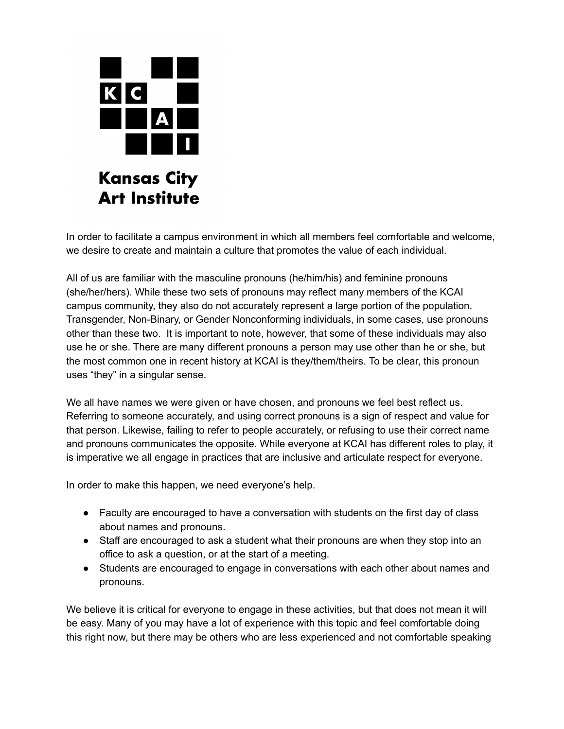

In order to facilitate a campus environment in which all members feel comfortable and welcome, we desire to create and maintain a culture that promotes the value of each individual.

All of us are familiar with the masculine pronouns (he/him/his) and feminine pronouns (she/her/hers). While these two sets of pronouns may reflect many members of the KCAI campus community, they also do not accurately represent a large portion of the population. Transgender, Non-Binary, or Gender Nonconforming individuals, in some cases, use pronouns other than these two. It is important to note, however, that some of these individuals may also use he or she. There are many different pronouns a person may use other than he or she, but the most common one in recent history at KCAI is they/them/theirs. To be clear, this pronoun uses "they" in a singular sense.

We all have names we were given or have chosen, and pronouns we feel best reflect us. Referring to someone accurately, and using correct pronouns is a sign of respect and value for that person. Likewise, failing to refer to people accurately, or refusing to use their correct name and pronouns communicates the opposite. While everyone at KCAI has different roles to play, it is imperative we all engage in practices that are inclusive and articulate respect for everyone.

In order to make this happen, we need everyone's help.

- Faculty are encouraged to have a conversation with students on the first day of class about names and pronouns.
- Staff are encouraged to ask a student what their pronouns are when they stop into an office to ask a question, or at the start of a meeting.
- Students are encouraged to engage in conversations with each other about names and pronouns.

We believe it is critical for everyone to engage in these activities, but that does not mean it will be easy. Many of you may have a lot of experience with this topic and feel comfortable doing this right now, but there may be others who are less experienced and not comfortable speaking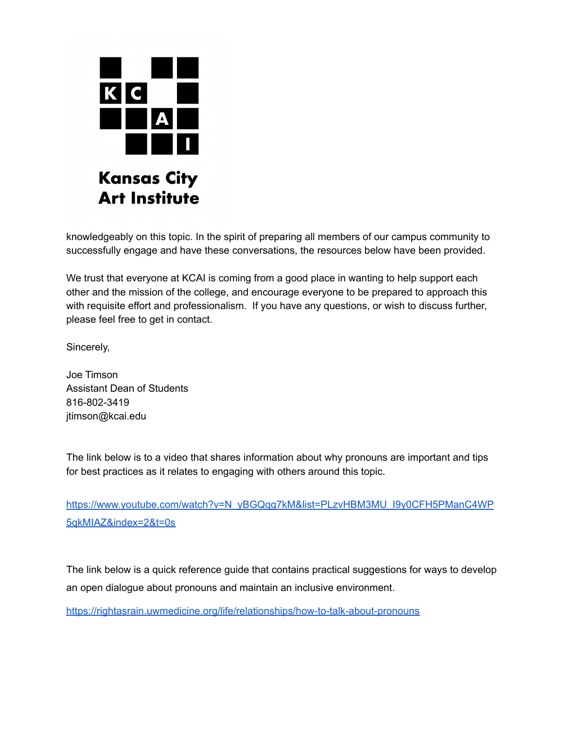

knowledgeably on this topic. In the spirit of preparing all members of our campus community to successfully engage and have these conversations, the resources below have been provided.

We trust that everyone at KCAI is coming from a good place in wanting to help support each other and the mission of the college, and encourage everyone to be prepared to approach this with requisite effort and professionalism. If you have any questions, or wish to discuss further, please feel free to get in contact.

Sincerely,

Joe Timson Assistant Dean of Students 816-802-3419 jtimson@kcai.edu

The link below is to a video that shares information about why pronouns are important and tips for best practices as it relates to engaging with others around this topic.

[https://www.youtube.com/watch?v=N\\_yBGQqg7kM&list=PLzvHBM3MU\\_I9y0CFH5PManC4WP](https://www.youtube.com/watch?v=N_yBGQqg7kM&list=PLzvHBM3MU_I9y0CFH5PManC4WP5qkMIAZ&index=2&t=0s) [5qkMIAZ&index=2&t=0s](https://www.youtube.com/watch?v=N_yBGQqg7kM&list=PLzvHBM3MU_I9y0CFH5PManC4WP5qkMIAZ&index=2&t=0s)

The link below is a quick reference guide that contains practical suggestions for ways to develop an open dialogue about pronouns and maintain an inclusive environment.

<https://rightasrain.uwmedicine.org/life/relationships/how-to-talk-about-pronouns>